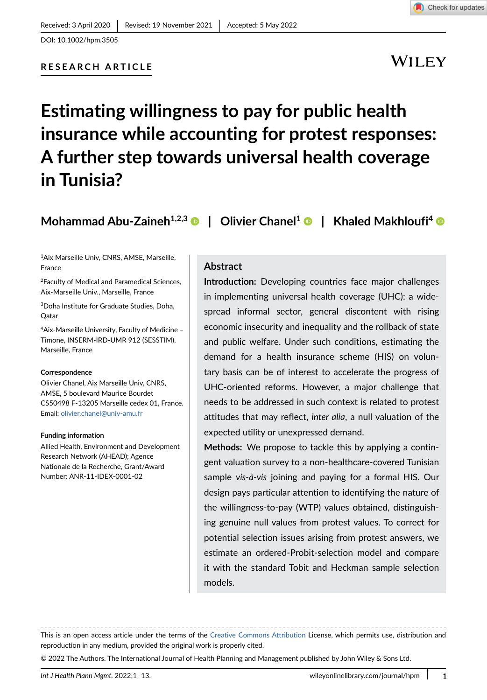DOI: 10.1002/hpm.3505

## **RESEARCH ARTICLE**

**WILEY** 

## **Estimating willingness to pay for public health insurance while accounting for protest responses: A further step towards universal health coverage in Tunisia?**

**Mohammad Abu-Zaineh1,2,3 | Olivier Chanel<sup>1</sup> | Khaled Makhloufi<sup>4</sup>**

1Aix Marseille Univ, CNRS, AMSE, Marseille, France

2Faculty of Medical and Paramedical Sciences, Aix-Marseille Univ., Marseille, France

3Doha Institute for Graduate Studies, Doha, **O**atar

4Aix-Marseille University, Faculty of Medicine – Timone, INSERM-IRD-UMR 912 (SESSTIM), Marseille, France

#### **Correspondence**

Olivier Chanel, Aix Marseille Univ, CNRS, AMSE, 5 boulevard Maurice Bourdet CS50498 F-13205 Marseille cedex 01, France. Email: olivier.chanel@univ-amu.fr

#### **Funding information**

Allied Health, Environment and Development Research Network (AHEAD); Agence Nationale de la Recherche, Grant/Award Number: ANR-11-IDEX-0001-02

#### **Abstract**

**Introduction:** Developing countries face major challenges in implementing universal health coverage (UHC): a widespread informal sector, general discontent with rising economic insecurity and inequality and the rollback of state and public welfare. Under such conditions, estimating the demand for a health insurance scheme (HIS) on voluntary basis can be of interest to accelerate the progress of UHC-oriented reforms. However, a major challenge that needs to be addressed in such context is related to protest attitudes that may reflect, *inter alia*, a null valuation of the expected utility or unexpressed demand.

**Methods:** We propose to tackle this by applying a contingent valuation survey to a non-healthcare-covered Tunisian sample *vis-à-vis* joining and paying for a formal HIS. Our design pays particular attention to identifying the nature of the willingness-to-pay (WTP) values obtained, distinguishing genuine null values from protest values. To correct for potential selection issues arising from protest answers, we estimate an ordered-Probit-selection model and compare it with the standard Tobit and Heckman sample selection models.

This is an open access article under the terms of the [Creative Commons Attribution](http://creativecommons.org/licenses/by/4.0/) License, which permits use, distribution and reproduction in any medium, provided the original work is properly cited.

© 2022 The Authors. The International Journal of Health Planning and Management published by John Wiley & Sons Ltd.

**1**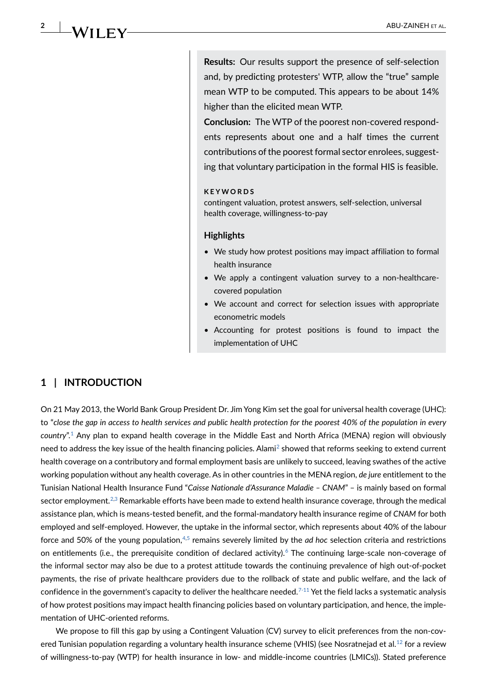**2** ABU-ZAINEH ET AL.

**Results:** Our results support the presence of self-selection and, by predicting protesters' WTP, allow the "true" sample mean WTP to be computed. This appears to be about 14% higher than the elicited mean WTP.

**Conclusion:** The WTP of the poorest non-covered respondents represents about one and a half times the current contributions of the poorest formal sector enrolees, suggesting that voluntary participation in the formal HIS is feasible.

#### **KEYWORDS**

contingent valuation, protest answers, self-selection, universal health coverage, willingness-to-pay

#### **Highlights**

- We study how protest positions may impact affiliation to formal health insurance
- We apply a contingent valuation survey to a non-healthcarecovered population
- We account and correct for selection issues with appropriate econometric models
- Accounting for protest positions is found to impact the implementation of UHC

## **1 | INTRODUCTION**

On 21 May 2013, the World Bank Group President Dr. Jim Yong Kim set the goal for universal health coverage (UHC): to "*close the gap in access to health services and public health protection for the poorest 40% of the population in every country*".[1](#page-10-0) Any plan to expand health coverage in the Middle East and North Africa (MENA) region will obviously need to address the key issue of the health financing policies. Alami<sup>2</sup> showed that reforms seeking to extend current health coverage on a contributory and formal employment basis are unlikely to succeed, leaving swathes of the active working population without any health coverage. As in other countries in the MENA region, *de jure* entitlement to the Tunisian National Health Insurance Fund "*Caisse Nationale d'Assurance Maladie – CNAM*" – is mainly based on formal sector employment.<sup>[2](#page-10-1)[,3](#page-10-2)</sup> Remarkable efforts have been made to extend health insurance coverage, through the medical assistance plan, which is means-tested benefit, and the formal-mandatory health insurance regime of *CNAM* for both employed and self-employed. However, the uptake in the informal sector, which represents about 40% of the labour force and 50% of the young population,[4](#page-10-3),[5](#page-10-4) remains severely limited by the *ad hoc* selection criteria and restrictions on entitlements (i.e., the prerequisite condition of declared activity).<sup> $\epsilon$ </sup> The continuing large-scale non-coverage of the informal sector may also be due to a protest attitude towards the continuing prevalence of high out-of-pocket payments, the rise of private healthcare providers due to the rollback of state and public welfare, and the lack of confidence in the government's capacity to deliver the healthcare needed.<sup>7-11</sup> Yet the field lacks a systematic analysis of how protest positions may impact health financing policies based on voluntary participation, and hence, the implementation of UHC-oriented reforms.

We propose to fill this gap by using a Contingent Valuation (CV) survey to elicit preferences from the non-cov-ered Tunisian population regarding a voluntary health insurance scheme (VHIS) (see Nosratnejad et al.<sup>[12](#page-11-0)</sup> for a review of willingness-to-pay (WTP) for health insurance in low- and middle-income countries (LMICs)). Stated preference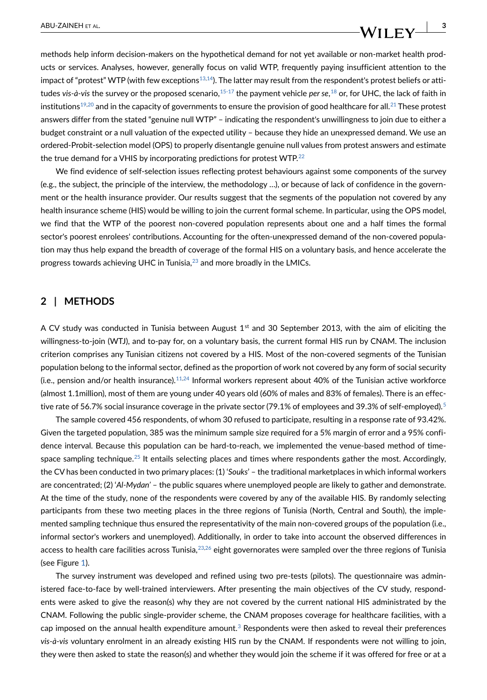## ABU-ZAINEH et al.  $\frac{3}{2}$

methods help inform decision-makers on the hypothetical demand for not yet available or non-market health products or services. Analyses, however, generally focus on valid WTP, frequently paying insufficient attention to the impact of "protest" WTP (with few exceptions<sup>13,14</sup>). The latter may result from the respondent's protest beliefs or attitudes *vis-à-vis* the survey or the proposed scenario,[15-17](#page-11-3) the payment vehicle *per se*, [18](#page-11-4) or, for UHC, the lack of faith in institutions<sup>19[,20](#page-11-6)</sup> and in the capacity of governments to ensure the provision of good healthcare for all.<sup>21</sup> These protest answers differ from the stated "genuine null WTP" – indicating the respondent's unwillingness to join due to either a budget constraint or a null valuation of the expected utility – because they hide an unexpressed demand. We use an ordered-Probit-selection model (OPS) to properly disentangle genuine null values from protest answers and estimate the true demand for a VHIS by incorporating predictions for protest WTP.[22](#page-11-8)

We find evidence of self-selection issues reflecting protest behaviours against some components of the survey (e.g., the subject, the principle of the interview, the methodology …), or because of lack of confidence in the government or the health insurance provider. Our results suggest that the segments of the population not covered by any health insurance scheme (HIS) would be willing to join the current formal scheme. In particular, using the OPS model, we find that the WTP of the poorest non-covered population represents about one and a half times the formal sector's poorest enrolees' contributions. Accounting for the often-unexpressed demand of the non-covered population may thus help expand the breadth of coverage of the formal HIS on a voluntary basis, and hence accelerate the progress towards achieving UHC in Tunisia,[23](#page-11-9) and more broadly in the LMICs.

#### **2 | METHODS**

A CV study was conducted in Tunisia between August  $1<sup>st</sup>$  and 30 September 2013, with the aim of eliciting the willingness-to-join (WTJ), and to-pay for, on a voluntary basis, the current formal HIS run by CNAM. The inclusion criterion comprises any Tunisian citizens not covered by a HIS. Most of the non-covered segments of the Tunisian population belong to the informal sector, defined as the proportion of work not covered by any form of social security (i.e., pension and/or health insurance).[11](#page-11-10),[24](#page-11-11) Informal workers represent about 40% of the Tunisian active workforce (almost 1.1million), most of them are young under 40 years old (60% of males and 83% of females). There is an effective rate of 56.7% social insurance coverage in the private sector (79.1% of employees and 39.3% of self-employed).<sup>5</sup>

The sample covered 456 respondents, of whom 30 refused to participate, resulting in a response rate of 93.42%. Given the targeted population, 385 was the minimum sample size required for a 5% margin of error and a 95% confidence interval. Because this population can be hard-to-reach, we implemented the venue-based method of timespace sampling technique.<sup>25</sup> It entails selecting places and times where respondents gather the most. Accordingly, the CV has been conducted in two primary places: (1) '*Souks*' – the traditional marketplaces in which informal workers are concentrated; (2) '*Al-Mydan'* – the public squares where unemployed people are likely to gather and demonstrate. At the time of the study, none of the respondents were covered by any of the available HIS. By randomly selecting participants from these two meeting places in the three regions of Tunisia (North, Central and South), the implemented sampling technique thus ensured the representativity of the main non-covered groups of the population (i.e., informal sector's workers and unemployed). Additionally, in order to take into account the observed differences in access to health care facilities across Tunisia, $23,26$  $23,26$  eight governorates were sampled over the three regions of Tunisia (see Figure [1](#page-3-0)).

The survey instrument was developed and refined using two pre-tests (pilots). The questionnaire was administered face-to-face by well-trained interviewers. After presenting the main objectives of the CV study, respondents were asked to give the reason(s) why they are not covered by the current national HIS administrated by the CNAM. Following the public single-provider scheme, the CNAM proposes coverage for healthcare facilities, with a cap imposed on the annual health expenditure amount.<sup>3</sup> Respondents were then asked to reveal their preferences *vis-à-vis* voluntary enrolment in an already existing HIS run by the CNAM. If respondents were not willing to join, they were then asked to state the reason(s) and whether they would join the scheme if it was offered for free or at a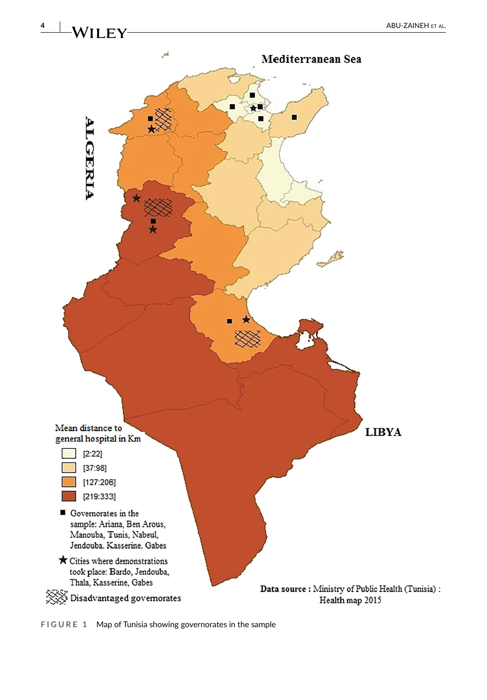

<span id="page-3-0"></span>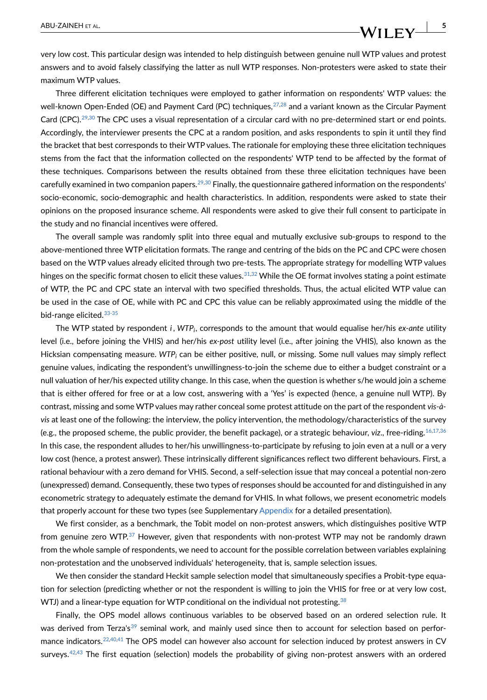very low cost. This particular design was intended to help distinguish between genuine null WTP values and protest answers and to avoid falsely classifying the latter as null WTP responses. Non-protesters were asked to state their maximum WTP values.

Three different elicitation techniques were employed to gather information on respondents' WTP values: the well-known Open-Ended (OE) and Payment Card (PC) techniques,<sup>[27](#page-11-14)[,28](#page-11-15)</sup> and a variant known as the Circular Payment Card (CPC).<sup>29[,30](#page-11-17)</sup> The CPC uses a visual representation of a circular card with no pre-determined start or end points. Accordingly, the interviewer presents the CPC at a random position, and asks respondents to spin it until they find the bracket that best corresponds to their WTP values. The rationale for employing these three elicitation techniques stems from the fact that the information collected on the respondents' WTP tend to be affected by the format of these techniques. Comparisons between the results obtained from these three elicitation techniques have been carefully examined in two companion papers.<sup>29,30</sup> Finally, the questionnaire gathered information on the respondents' socio-economic, socio-demographic and health characteristics. In addition, respondents were asked to state their opinions on the proposed insurance scheme. All respondents were asked to give their full consent to participate in the study and no financial incentives were offered.

The overall sample was randomly split into three equal and mutually exclusive sub-groups to respond to the above-mentioned three WTP elicitation formats. The range and centring of the bids on the PC and CPC were chosen based on the WTP values already elicited through two pre-tests. The appropriate strategy for modelling WTP values hinges on the specific format chosen to elicit these values.<sup>[31](#page-11-18)[,32](#page-11-19)</sup> While the OE format involves stating a point estimate of WTP, the PC and CPC state an interval with two specified thresholds. Thus, the actual elicited WTP value can be used in the case of OE, while with PC and CPC this value can be reliably approximated using the middle of the bid-range elicited.[33-35](#page-11-20)

The WTP stated by respondent *i*, WTP<sub>i</sub>, corresponds to the amount that would equalise her/his ex-ante utility level (i.e., before joining the VHIS) and her/his *ex-post* utility level (i.e., after joining the VHIS), also known as the Hicksian compensating measure. WTP<sub>i</sub> can be either positive, null, or missing. Some null values may simply reflect genuine values, indicating the respondent's unwillingness-to-join the scheme due to either a budget constraint or a null valuation of her/his expected utility change. In this case, when the question is whether s/he would join a scheme that is either offered for free or at a low cost, answering with a 'Yes' is expected (hence, a genuine null WTP). By contrast, missing and some WTP values may rather conceal some protest attitude on the part of the respondent *vis-àvis* at least one of the following: the interview, the policy intervention, the methodology/characteristics of the survey (e.g., the proposed scheme, the public provider, the benefit package), or a strategic behaviour, *viz*., free-riding.[16](#page-11-21),[17](#page-11-22),[36](#page-11-23) In this case, the respondent alludes to her/his unwillingness-to-participate by refusing to join even at a null or a very low cost (hence, a protest answer). These intrinsically different significances reflect two different behaviours. First, a rational behaviour with a zero demand for VHIS. Second, a self-selection issue that may conceal a potential non-zero (unexpressed) demand. Consequently, these two types of responses should be accounted for and distinguished in any econometric strategy to adequately estimate the demand for VHIS. In what follows, we present econometric models that properly account for these two types (see Supplementary Appendix for a detailed presentation).

We first consider, as a benchmark, the Tobit model on non-protest answers, which distinguishes positive WTP from genuine zero WTP.<sup>37</sup> However, given that respondents with non-protest WTP may not be randomly drawn from the whole sample of respondents, we need to account for the possible correlation between variables explaining non-protestation and the unobserved individuals' heterogeneity, that is, sample selection issues.

We then consider the standard Heckit sample selection model that simultaneously specifies a Probit-type equation for selection (predicting whether or not the respondent is willing to join the VHIS for free or at very low cost, WTJ) and a linear-type equation for WTP conditional on the individual not protesting.<sup>38</sup>

Finally, the OPS model allows continuous variables to be observed based on an ordered selection rule. It was derived from Terza's<sup>39</sup> seminal work, and mainly used since then to account for selection based on perfor-mance indicators.<sup>22,[40,](#page-11-27)[41](#page-11-28)</sup> The OPS model can however also account for selection induced by protest answers in CV surveys.<sup>42[,43](#page-12-1)</sup> The first equation (selection) models the probability of giving non-protest answers with an ordered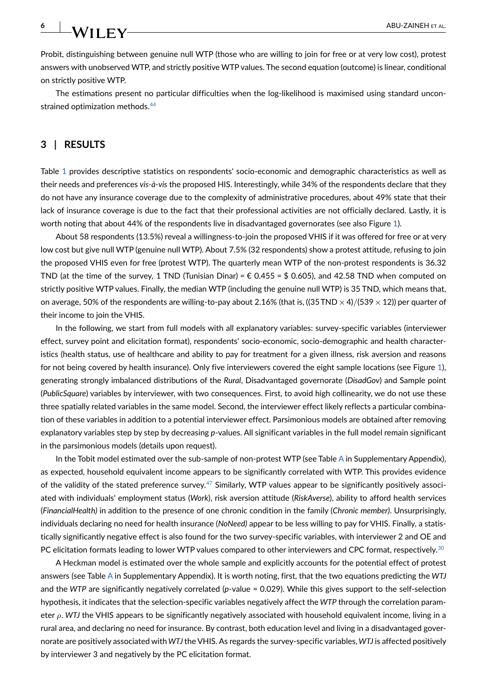Probit, distinguishing between genuine null WTP (those who are willing to join for free or at very low cost), protest answers with unobserved WTP, and strictly positive WTP values. The second equation (outcome) is linear, conditional on strictly positive WTP.

The estimations present no particular difficulties when the log-likelihood is maximised using standard unconstrained optimization methods.<sup>44</sup>

## **3 | RESULTS**

Table [1](#page-6-0) provides descriptive statistics on respondents' socio-economic and demographic characteristics as well as their needs and preferences *vis-à-vis* the proposed HIS. Interestingly, while 34% of the respondents declare that they do not have any insurance coverage due to the complexity of administrative procedures, about 49% state that their lack of insurance coverage is due to the fact that their professional activities are not officially declared. Lastly, it is worth noting that about 44% of the respondents live in disadvantaged governorates (see also Figure [1\)](#page-3-0).

About 58 respondents (13.5%) reveal a willingness-to-join the proposed VHIS if it was offered for free or at very low cost but give null WTP (genuine null WTP). About 7.5% (32 respondents) show a protest attitude, refusing to join the proposed VHIS even for free (protest WTP). The quarterly mean WTP of the non-protest respondents is 36.32 TND (at the time of the survey, 1 TND (Tunisian Dinar) =  $\epsilon$  0.455 = \$ 0.605), and 42.58 TND when computed on strictly positive WTP values. Finally, the median WTP (including the genuine null WTP) is 35 TND, which means that, on average, 50% of the respondents are willing-to-pay about 2.16% (that is,  $(35 \text{ TND} \times 4)/(539 \times 12)$ ) per quarter of their income to join the VHIS.

In the following, we start from full models with all explanatory variables: survey-specific variables (interviewer effect, survey point and elicitation format), respondents' socio-economic, socio-demographic and health characteristics (health status, use of healthcare and ability to pay for treatment for a given illness, risk aversion and reasons for not being covered by health insurance). Only five interviewers covered the eight sample locations (see Figure [1](#page-3-0)), generating strongly imbalanced distributions of the *Rural*, Disadvantaged governorate (*DisadGov*) and Sample point (*PublicSquare*) variables by interviewer, with two consequences. First, to avoid high collinearity, we do not use these three spatially related variables in the same model. Second, the interviewer effect likely reflects a particular combination of these variables in addition to a potential interviewer effect. Parsimonious models are obtained after removing explanatory variables step by step by decreasing *p*-values. All significant variables in the full model remain significant in the parsimonious models (details upon request).

In the Tobit model estimated over the sub-sample of non-protest WTP (see Table A in Supplementary Appendix), as expected, household equivalent income appears to be significantly correlated with WTP. This provides evidence of the validity of the stated preference survey.<sup>47</sup> Similarly, WTP values appear to be significantly positively associated with individuals' employment status (*Work*), risk aversion attitude (*RiskAverse*), ability to afford health services (*FinancialHealth)* in addition to the presence of one chronic condition in the family (*Chronic member)*. Unsurprisingly, individuals declaring no need for health insurance (*NoNeed)* appear to be less willing to pay for VHIS. Finally, a statistically significantly negative effect is also found for the two survey-specific variables, with interviewer 2 and OE and PC elicitation formats leading to lower WTP values compared to other interviewers and CPC format, respectively.<sup>30</sup>

A Heckman model is estimated over the whole sample and explicitly accounts for the potential effect of protest answers (see Table A in Supplementary Appendix). It is worth noting, first, that the two equations predicting the WTJ and the WTP are significantly negatively correlated (p-value = 0.029). While this gives support to the self-selection hypothesis, it indicates that the selection-specific variables negatively affect the WTP through the correlation parameter ρ. WTJ the VHIS appears to be significantly negatively associated with household equivalent income, living in a rural area, and declaring no need for insurance. By contrast, both education level and living in a disadvantaged governorate are positively associated with *WTJ* the VHIS. As regards the survey-specific variables, *WTJ* is affected positively by interviewer 3 and negatively by the PC elicitation format.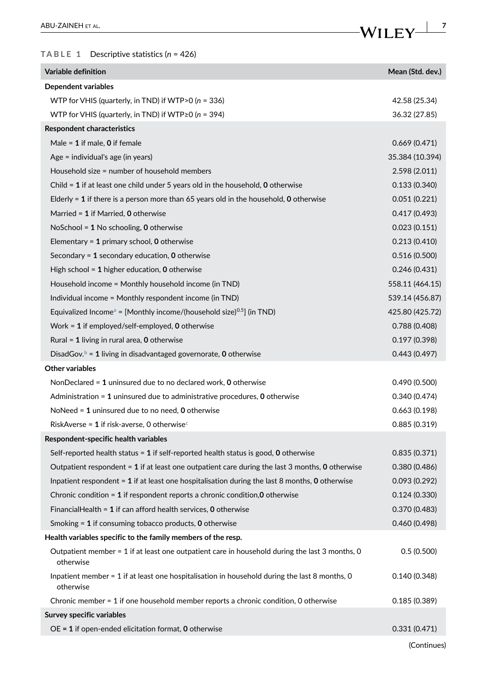### <span id="page-6-0"></span>**TABLE 1**  Descriptive statistics (*n* = 426)

| Variable definition                                                                                         | Mean (Std. dev.) |
|-------------------------------------------------------------------------------------------------------------|------------------|
| <b>Dependent variables</b>                                                                                  |                  |
| WTP for VHIS (quarterly, in TND) if WTP>0 ( $n = 336$ )                                                     | 42.58 (25.34)    |
| WTP for VHIS (quarterly, in TND) if WTP $\geq$ 0 (n = 394)                                                  | 36.32 (27.85)    |
| <b>Respondent characteristics</b>                                                                           |                  |
| Male = $1$ if male, 0 if female                                                                             | 0.669(0.471)     |
| Age = individual's age (in years)                                                                           | 35.384 (10.394)  |
| Household size = number of household members                                                                | 2.598 (2.011)    |
| Child = $1$ if at least one child under 5 years old in the household, 0 otherwise                           | 0.133(0.340)     |
| Elderly $= 1$ if there is a person more than 65 years old in the household, 0 otherwise                     | 0.051(0.221)     |
| Married = $1$ if Married, 0 otherwise                                                                       | 0.417(0.493)     |
| NoSchool = $1$ No schooling, 0 otherwise                                                                    | 0.023(0.151)     |
| Elementary = $1$ primary school, 0 otherwise                                                                | 0.213(0.410)     |
| Secondary = $1$ secondary education, 0 otherwise                                                            | 0.516(0.500)     |
| High school = $1$ higher education, 0 otherwise                                                             | 0.246(0.431)     |
| Household income = Monthly household income (in TND)                                                        | 558.11 (464.15)  |
| Individual income = Monthly respondent income (in TND)                                                      | 539.14 (456.87)  |
| Equivalized Income <sup>a</sup> = [Monthly income/(household size) <sup>0.5</sup> ] (in TND)                | 425.80 (425.72)  |
| Work = $1$ if employed/self-employed, 0 otherwise                                                           | 0.788(0.408)     |
| Rural = $1$ living in rural area, $0$ otherwise                                                             | 0.197(0.398)     |
| DisadGov. $b = 1$ living in disadvantaged governorate, 0 otherwise                                          | 0.443(0.497)     |
| <b>Other variables</b>                                                                                      |                  |
| NonDeclared = $1$ uninsured due to no declared work, 0 otherwise                                            | 0.490(0.500)     |
| Administration $= 1$ uninsured due to administrative procedures, 0 otherwise                                | 0.340(0.474)     |
| NoNeed = $1$ uninsured due to no need, 0 otherwise                                                          | 0.663(0.198)     |
| RiskAverse = $1$ if risk-averse, 0 otherwise <sup>c</sup>                                                   | 0.885(0.319)     |
| Respondent-specific health variables                                                                        |                  |
| Self-reported health status = $1$ if self-reported health status is good, 0 otherwise                       | 0.835(0.371)     |
| Outpatient respondent $= 1$ if at least one outpatient care during the last 3 months, 0 otherwise           | 0.380(0.486)     |
| Inpatient respondent $= 1$ if at least one hospitalisation during the last 8 months, 0 otherwise            | 0.093(0.292)     |
| Chronic condition $= 1$ if respondent reports a chronic condition, 0 otherwise                              | 0.124(0.330)     |
| FinancialHealth = $1$ if can afford health services, 0 otherwise                                            | 0.370(0.483)     |
| Smoking $= 1$ if consuming tobacco products, 0 otherwise                                                    | 0.460(0.498)     |
| Health variables specific to the family members of the resp.                                                |                  |
| Outpatient member = 1 if at least one outpatient care in household during the last 3 months, 0<br>otherwise | 0.5(0.500)       |
| Inpatient member = 1 if at least one hospitalisation in household during the last 8 months, 0<br>otherwise  | 0.140(0.348)     |
| Chronic member = 1 if one household member reports a chronic condition, 0 otherwise                         | 0.185(0.389)     |
| Survey specific variables                                                                                   |                  |
| $OE = 1$ if open-ended elicitation format, 0 otherwise                                                      | 0.331(0.471)     |

(Continues)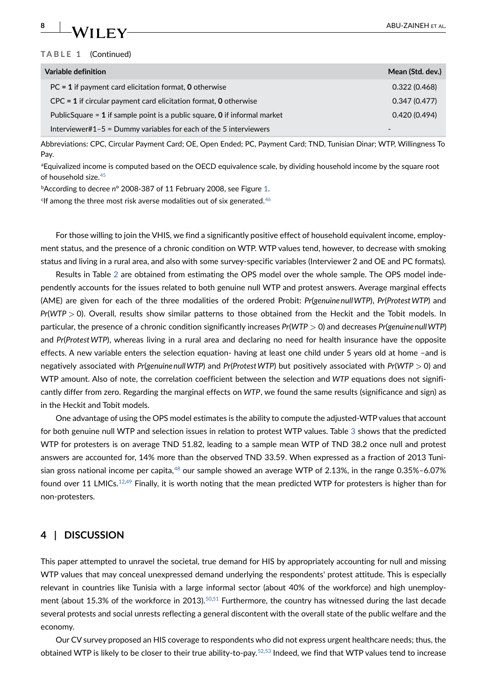## **8** ABU-ZAINEH ET AL.

### **TABLE 1** (Continued)

| Variable definition                                                          | Mean (Std. dev.) |
|------------------------------------------------------------------------------|------------------|
| $PC = 1$ if payment card elicitation format, 0 otherwise                     | 0.322(0.468)     |
| $CPC = 1$ if circular payment card elicitation format, 0 otherwise           | 0.347(0.477)     |
| Public Square = $1$ if sample point is a public square, 0 if informal market | 0.420(0.494)     |
| Interviewer#1-5 = Dummy variables for each of the 5 interviewers             | -                |

Abbreviations: CPC, Circular Payment Card; OE, Open Ended; PC, Payment Card; TND, Tunisian Dinar; WTP, Willingness To Pay.

a Equivalized income is computed based on the OECD equivalence scale, by dividing household income by the square root of household size.[45](#page-12-10)

bAccording to decree *n*° 2008-387 of 11 February 2008, see Figure [1.](#page-3-0)

 $^{\rm c}$ If among the three most risk averse modalities out of six generated. $^{46}$  $^{46}$  $^{46}$ 

For those willing to join the VHIS, we find a significantly positive effect of household equivalent income, employment status, and the presence of a chronic condition on WTP. WTP values tend, however, to decrease with smoking status and living in a rural area, and also with some survey-specific variables (Interviewer 2 and OE and PC formats).

Results in Table [2](#page-8-0) are obtained from estimating the OPS model over the whole sample. The OPS model independently accounts for the issues related to both genuine null WTP and protest answers. Average marginal effects (AME) are given for each of the three modalities of the ordered Probit: *Pr(genuine null WTP*), *Pr(Protest WTP*) and *A Pr*(*WTP* > 0) . Overall, results show similar patterns to those obtained from the Heckit and the Tobit models. In particular, the presence of a chronic condition significantly increases  $Pr(WTP > 0)$  and decreases  $Pr(genuine nullWTP)$ and Pr(Protest WTP), whereas living in a rural area and declaring no need for health insurance have the opposite effects. A new variable enters the selection equation- having at least one child under 5 years old at home –and is negatively associated with *Pr*(genuine null WTP) and *Pr*(*Protest WTP*) but positively associated with *Pr*(WTP > 0) and WTP amount. Also of note, the correlation coefficient between the selection and WTP equations does not significantly differ from zero. Regarding the marginal effects on WTP, we found the same results (significance and sign) as in the Heckit and Tobit models.

One advantage of using the OPS model estimates is the ability to compute the adjusted-WTP values that account for both genuine null WTP and selection issues in relation to protest WTP values. Table [3](#page-9-0) shows that the predicted WTP for protesters is on average TND 51.82, leading to a sample mean WTP of TND 38.2 once null and protest answers are accounted for, 14% more than the observed TND 33.59. When expressed as a fraction of 2013 Tunisian gross national income per capita, $48$  our sample showed an average WTP of 2.13%, in the range 0.35%–6.07% found over 11 LMICs.<sup>12[,49](#page-12-5)</sup> Finally, it is worth noting that the mean predicted WTP for protesters is higher than for non-protesters.

## **4 | DISCUSSION**

This paper attempted to unravel the societal, true demand for HIS by appropriately accounting for null and missing WTP values that may conceal unexpressed demand underlying the respondents' protest attitude. This is especially relevant in countries like Tunisia with a large informal sector (about 40% of the workforce) and high unemployment (about 15.3% of the workforce in 2013).<sup>50,51</sup> Furthermore, the country has witnessed during the last decade several protests and social unrests reflecting a general discontent with the overall state of the public welfare and the economy.

Our CV survey proposed an HIS coverage to respondents who did not express urgent healthcare needs; thus, the obtained WTP is likely to be closer to their true ability-to-pay.<sup>52,[53](#page-12-9)</sup> Indeed, we find that WTP values tend to increase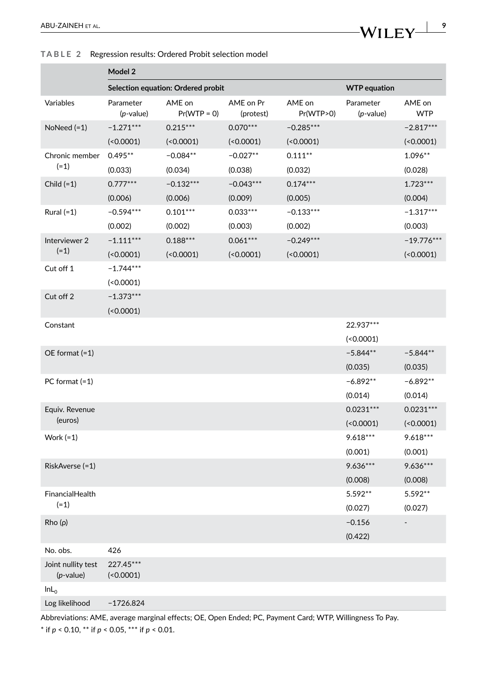#### <span id="page-8-0"></span>**TABLE 2**  Regression results: Ordered Probit selection model

|                                    | Model 2                            |                         |                        |                     |                           |                      |
|------------------------------------|------------------------------------|-------------------------|------------------------|---------------------|---------------------------|----------------------|
|                                    | Selection equation: Ordered probit |                         |                        | <b>WTP</b> equation |                           |                      |
| Variables                          | Parameter<br>$(p$ -value)          | AME on<br>$Pr(WTP = 0)$ | AME on Pr<br>(protest) | AME on<br>Pr(WTP>0) | Parameter<br>$(p$ -value) | AME on<br><b>WTP</b> |
| NoNeed $(=1)$                      | $-1.271***$                        | $0.215***$              | $0.070***$             | $-0.285***$         |                           | $-2.817***$          |
|                                    | (0.0001)                           | (0.0001)                | (0.0001)               | (0.0001)            |                           | (0.0001)             |
| Chronic member                     | $0.495**$                          | $-0.084**$              | $-0.027**$             | $0.111**$           |                           | 1.096**              |
| $(=1)$                             | (0.033)                            | (0.034)                 | (0.038)                | (0.032)             |                           | (0.028)              |
| Child $(=1)$                       | $0.777***$                         | $-0.132***$             | $-0.043***$            | $0.174***$          |                           | $1.723***$           |
|                                    | (0.006)                            | (0.006)                 | (0.009)                | (0.005)             |                           | (0.004)              |
| Rural $(=1)$                       | $-0.594***$                        | $0.101***$              | $0.033***$             | $-0.133***$         |                           | $-1.317***$          |
|                                    | (0.002)                            | (0.002)                 | (0.003)                | (0.002)             |                           | (0.003)              |
| Interviewer 2                      | $-1.111***$                        | $0.188***$              | $0.061***$             | $-0.249***$         |                           | $-19.776***$         |
| $(=1)$                             | (0.0001)                           | (0.0001)                | (0.0001)               | (0.0001)            |                           | (0.0001)             |
| Cut off 1                          | $-1.744***$                        |                         |                        |                     |                           |                      |
|                                    | (0.0001)                           |                         |                        |                     |                           |                      |
| Cut off 2                          | $-1.373***$                        |                         |                        |                     |                           |                      |
|                                    | (0.0001)                           |                         |                        |                     |                           |                      |
| Constant                           |                                    |                         |                        |                     | 22.937***                 |                      |
|                                    |                                    |                         |                        |                     | (0.0001)                  |                      |
| OE format $(=1)$                   |                                    |                         |                        |                     | $-5.844**$                | $-5.844**$           |
|                                    |                                    |                         |                        |                     | (0.035)                   | (0.035)              |
| PC format $(=1)$                   |                                    |                         |                        |                     | $-6.892**$                | $-6.892**$           |
|                                    |                                    |                         |                        |                     | (0.014)                   | (0.014)              |
| Equiv. Revenue                     |                                    |                         |                        |                     | $0.0231***$               | $0.0231***$          |
| (euros)                            |                                    |                         |                        |                     | (0.0001)                  | (0.0001)             |
| Work $(=1)$                        |                                    |                         |                        |                     | $9.618***$                | $9.618***$           |
|                                    |                                    |                         |                        |                     | (0.001)                   | (0.001)              |
| RiskAverse (=1)                    |                                    |                         |                        |                     | $9.636***$                | $9.636***$           |
|                                    |                                    |                         |                        |                     | (0.008)                   | (0.008)              |
| FinancialHealth                    |                                    |                         |                        |                     | $5.592**$                 | 5.592**              |
| $(=1)$                             |                                    |                         |                        |                     | (0.027)                   | (0.027)              |
| Rho(p)                             |                                    |                         |                        |                     | $-0.156$                  |                      |
|                                    |                                    |                         |                        |                     | (0.422)                   |                      |
| No. obs.                           | 426                                |                         |                        |                     |                           |                      |
| Joint nullity test<br>$(p$ -value) | 227.45***<br>(0.0001)              |                         |                        |                     |                           |                      |
| $lnL_0$                            |                                    |                         |                        |                     |                           |                      |
| Log likelihood                     | $-1726.824$                        |                         |                        |                     |                           |                      |

Abbreviations: AME, average marginal effects; OE, Open Ended; PC, Payment Card; WTP, Willingness To Pay. \* if *p* < 0.10, \*\* if *p* < 0.05, \*\*\* if *p* < 0.01.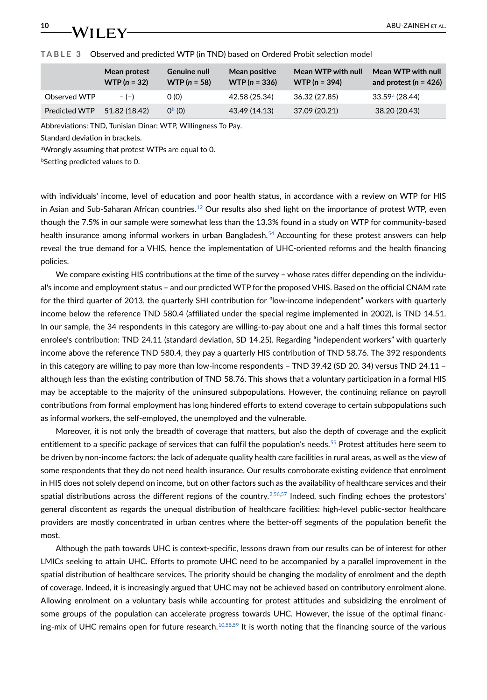<span id="page-9-0"></span>

| TABLE 3 Observed and predicted WTP (in TND) based on Ordered Probit selection model |  |
|-------------------------------------------------------------------------------------|--|
|-------------------------------------------------------------------------------------|--|

|               | Mean protest<br>$WTP (n = 32)$ | <b>Genuine null</b><br>$WTP (n = 58)$ | Mean positive<br>$WTP(n = 336)$ | Mean WTP with null<br>$WTP (n = 394)$ | Mean WTP with null<br>and protest ( $n = 426$ ) |
|---------------|--------------------------------|---------------------------------------|---------------------------------|---------------------------------------|-------------------------------------------------|
| Observed WTP  | $-(-)$                         | O(0)                                  | 42.58 (25.34)                   | 36.32 (27.85)                         | $33.59^{\circ}$ (28.44)                         |
| Predicted WTP | 51.82 (18.42)                  | $Ob$ (O)                              | 43.49 (14.13)                   | 37.09 (20.21)                         | 38.20 (20.43)                                   |

Abbreviations: TND, Tunisian Dinar; WTP, Willingness To Pay.

Standard deviation in brackets.

a Wrongly assuming that protest WTPs are equal to 0.

bSetting predicted values to 0.

with individuals' income, level of education and poor health status, in accordance with a review on WTP for HIS in Asian and Sub-Saharan African countries.<sup>12</sup> Our results also shed light on the importance of protest WTP, even though the 7.5% in our sample were somewhat less than the 13.3% found in a study on WTP for community-based health insurance among informal workers in urban Bangladesh.<sup>54</sup> Accounting for these protest answers can help reveal the true demand for a VHIS, hence the implementation of UHC-oriented reforms and the health financing policies.

We compare existing HIS contributions at the time of the survey – whose rates differ depending on the individual's income and employment status – and our predicted WTP for the proposed VHIS. Based on the official CNAM rate for the third quarter of 2013, the quarterly SHI contribution for "low-income independent" workers with quarterly income below the reference TND 580.4 (affiliated under the special regime implemented in 2002), is TND 14.51. In our sample, the 34 respondents in this category are willing-to-pay about one and a half times this formal sector enrolee's contribution: TND 24.11 (standard deviation, SD 14.25). Regarding "independent workers" with quarterly income above the reference TND 580.4, they pay a quarterly HIS contribution of TND 58.76. The 392 respondents in this category are willing to pay more than low-income respondents – TND 39.42 (SD 20. 34) versus TND 24.11 – although less than the existing contribution of TND 58.76. This shows that a voluntary participation in a formal HIS may be acceptable to the majority of the uninsured subpopulations. However, the continuing reliance on payroll contributions from formal employment has long hindered efforts to extend coverage to certain subpopulations such as informal workers, the self-employed, the unemployed and the vulnerable.

Moreover, it is not only the breadth of coverage that matters, but also the depth of coverage and the explicit entitlement to a specific package of services that can fulfil the population's needs.<sup>[55](#page-12-13)</sup> Protest attitudes here seem to be driven by non-income factors: the lack of adequate quality health care facilities in rural areas, as well as the view of some respondents that they do not need health insurance. Our results corroborate existing evidence that enrolment in HIS does not solely depend on income, but on other factors such as the availability of healthcare services and their spatial distributions across the different regions of the country.<sup>2,[56](#page-12-14),[57](#page-12-15)</sup> Indeed, such finding echoes the protestors' general discontent as regards the unequal distribution of healthcare facilities: high-level public-sector healthcare providers are mostly concentrated in urban centres where the better-off segments of the population benefit the most.

Although the path towards UHC is context-specific, lessons drawn from our results can be of interest for other LMICs seeking to attain UHC. Efforts to promote UHC need to be accompanied by a parallel improvement in the spatial distribution of healthcare services. The priority should be changing the modality of enrolment and the depth of coverage. Indeed, it is increasingly argued that UHC may not be achieved based on contributory enrolment alone. Allowing enrolment on a voluntary basis while accounting for protest attitudes and subsidizing the enrolment of some groups of the population can accelerate progress towards UHC. However, the issue of the optimal financ-ing-mix of UHC remains open for future research.<sup>10,[58,](#page-12-16)59</sup> It is worth noting that the financing source of the various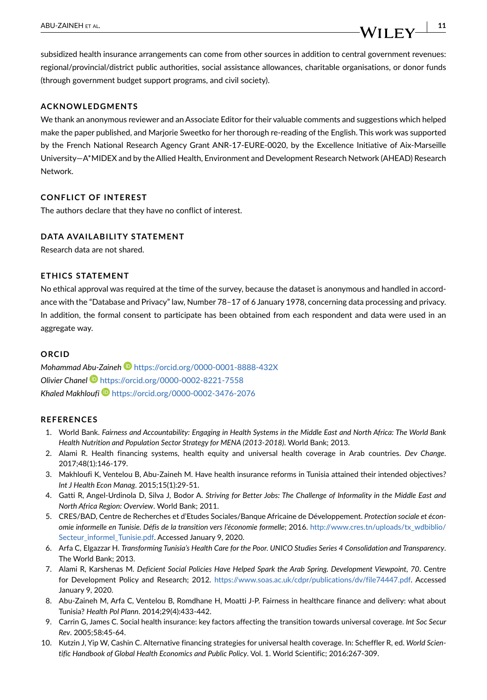subsidized health insurance arrangements can come from other sources in addition to central government revenues: regional/provincial/district public authorities, social assistance allowances, charitable organisations, or donor funds (through government budget support programs, and civil society).

#### **ACKNOWLEDGMENTS**

We thank an anonymous reviewer and an Associate Editor for their valuable comments and suggestions which helped make the paper published, and Marjorie Sweetko for her thorough re-reading of the English. This work was supported by the French National Research Agency Grant ANR-17-EURE-0020, by the Excellence Initiative of Aix-Marseille University—A\*MIDEX and by the Allied Health, Environment and Development Research Network (AHEAD) Research Network.

#### **CONFLICT OF INTEREST**

The authors declare that they have no conflict of interest.

#### **DATA AVAILABILITY STATEMENT**

Research data are not shared.

### **ETHICS STATEMENT**

No ethical approval was required at the time of the survey, because the dataset is anonymous and handled in accordance with the "Database and Privacy" law, Number 78–17 of 6 January 1978, concerning data processing and privacy. In addition, the formal consent to participate has been obtained from each respondent and data were used in an aggregate way.

#### **ORCID**

*Mohammad Abu-Zaineh* <https://orcid.org/0000-0001-8888-432X> *Olivier Chanel* <https://orcid.org/0000-0002-8221-7558> *Khaled Makhloufi* <https://orcid.org/0000-0002-3476-2076>

#### **REFERENCES**

- <span id="page-10-0"></span>1. World Bank. *Fairness and Accountability: Engaging in Health Systems in the Middle East and North Africa: The World Bank Health Nutrition and Population Sector Strategy for MENA (2013-2018)*. World Bank; 2013.
- <span id="page-10-1"></span>2. Alami R. Health financing systems, health equity and universal health coverage in Arab countries. *Dev Change*. 2017;48(1):146-179.
- <span id="page-10-2"></span>3. Makhloufi K, Ventelou B, Abu-Zaineh M. Have health insurance reforms in Tunisia attained their intended objectives*? Int J Health Econ Manag*. 2015;15(1):29-51.
- <span id="page-10-3"></span>4. Gatti R, Angel-Urdinola D, Silva J, Bodor A. *Striving for Better Jobs: The Challenge of Informality in the Middle East and North Africa Region: Overview*. World Bank; 2011.
- <span id="page-10-4"></span>5. CRES/BAD, Centre de Recherches et d'Etudes Sociales/Banque Africaine de Développement. *Protection sociale et économie informelle en Tunisie. Défis de la transition vers l'économie formelle*; 2016. [http://www.cres.tn/uploads/tx\\_wdbiblio/](http://www.cres.tn/uploads/tx_wdbiblio/Secteur_informel_Tunisie.pdf) [Secteur\\_informel\\_Tunisie.pdf](http://www.cres.tn/uploads/tx_wdbiblio/Secteur_informel_Tunisie.pdf). Accessed January 9, 2020.
- <span id="page-10-5"></span>6. Arfa C, Elgazzar H. *Transforming Tunisia's Health Care for the Poor. UNICO Studies Series 4 Consolidation and Transparency*. The World Bank; 2013.
- <span id="page-10-6"></span>7. Alami R, Karshenas M. *Deficient Social Policies Have Helped Spark the Arab Spring. Development Viewpoint, 70*. Centre for Development Policy and Research; 2012. <https://www.soas.ac.uk/cdpr/publications/dv/file74447.pdf>. Accessed January 9, 2020.
- 8. Abu-Zaineh M, Arfa C, Ventelou B, Romdhane H, Moatti J-P. Fairness in healthcare finance and delivery: what about Tunisia? *Health Pol Plann*. 2014;29(4):433-442.
- 9. Carrin G, James C. Social health insurance: key factors affecting the transition towards universal coverage. *Int Soc Secur Rev*. 2005;58:45-64.
- <span id="page-10-7"></span>10. Kutzin J, Yip W, Cashin C. Alternative financing strategies for universal health coverage. In: Scheffler R, ed. *World Scientific Handbook of Global Health Economics and Public Policy*. Vol. 1. World Scientific; 2016:267-309.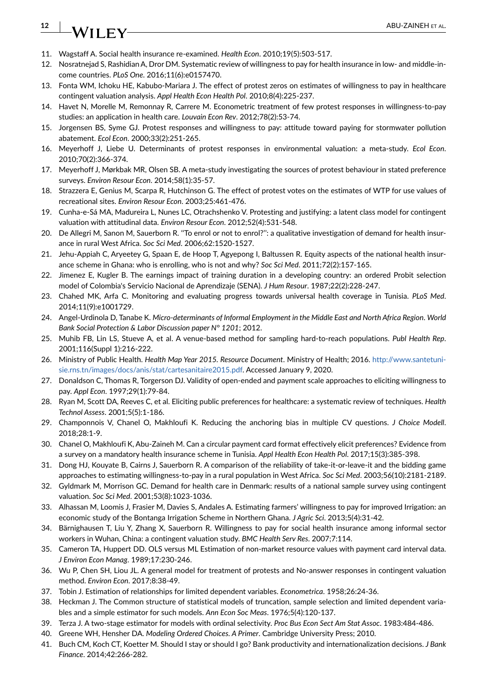# **12** ABU-ZAINEH ET AL.

- <span id="page-11-10"></span>11. Wagstaff A. Social health insurance re-examined. *Health Econ*. 2010;19(5):503-517.
- <span id="page-11-0"></span>12. Nosratnejad S, Rashidian A, Dror DM. Systematic review of willingness to pay for health insurance in low- and middle-income countries. *PLoS One*. 2016;11(6):e0157470.
- <span id="page-11-1"></span>13. Fonta WM, Ichoku HE, Kabubo-Mariara J. The effect of protest zeros on estimates of willingness to pay in healthcare contingent valuation analysis. *Appl Health Econ Health Pol*. 2010;8(4):225-237.
- <span id="page-11-2"></span>14. Havet N, Morelle M, Remonnay R, Carrere M. Econometric treatment of few protest responses in willingness-to-pay studies: an application in health care. *Louvain Econ Rev*. 2012;78(2):53-74.
- <span id="page-11-3"></span>15. Jorgensen BS, Syme GJ. Protest responses and willingness to pay: attitude toward paying for stormwater pollution abatement. *Ecol Econ*. 2000;33(2):251-265.
- <span id="page-11-21"></span>16. Meyerhoff J, Liebe U. Determinants of protest responses in environmental valuation: a meta-study. *Ecol Econ*. 2010;70(2):366-374.
- <span id="page-11-22"></span>17. Meyerhoff J, Mørkbak MR, Olsen SB. A meta-study investigating the sources of protest behaviour in stated preference surveys. *Environ Resour Econ*. 2014;58(1):35-57.
- <span id="page-11-4"></span>18. Strazzera E, Genius M, Scarpa R, Hutchinson G. The effect of protest votes on the estimates of WTP for use values of recreational sites. *Environ Resour Econ*. 2003;25:461-476.
- <span id="page-11-5"></span>19. Cunha-e-Sá MA, Madureira L, Nunes LC, Otrachshenko V. Protesting and justifying: a latent class model for contingent valuation with attitudinal data. *Environ Resour Econ*. 2012;52(4):531-548.
- <span id="page-11-6"></span>20. De Allegri M, Sanon M, Sauerborn R. ''To enrol or not to enrol?'': a qualitative investigation of demand for health insurance in rural West Africa. *Soc Sci Med*. 2006;62:1520-1527.
- <span id="page-11-7"></span>21. Jehu-Appiah C, Aryeetey G, Spaan E, de Hoop T, Agyepong I, Baltussen R. Equity aspects of the national health insurance scheme in Ghana: who is enrolling, who is not and why? *Soc Sci Med*. 2011;72(2):157-165.
- <span id="page-11-8"></span>22. Jimenez E, Kugler B. The earnings impact of training duration in a developing country: an ordered Probit selection model of Colombia's Servicio Nacional de Aprendizaje (SENA). *J Hum Resour*. 1987;22(2):228-247.
- <span id="page-11-9"></span>23. Chahed MK, Arfa C. Monitoring and evaluating progress towards universal health coverage in Tunisia. *PLoS Med*. 2014;11(9):e1001729.
- <span id="page-11-11"></span>24. Angel-Urdinola D, Tanabe K. *Micro-determinants of Informal Employment in the Middle East and North Africa Region*. *World Bank Social Protection & Labor Discussion paper N° 1201*; 2012.
- <span id="page-11-12"></span>25. Muhib FB, Lin LS, Stueve A, et al. A venue-based method for sampling hard-to-reach populations. *Publ Health Rep*. 2001;116(Suppl 1):216-222.
- <span id="page-11-13"></span>26. Ministry of Public Health. *Health Map Year 2015. Resource Document*. Ministry of Health; 2016. [http://www.santetuni](http://www.santetunisie.rns.tn/images/docs/anis/stat/cartesanitaire2015.pdf)[sie.rns.tn/images/docs/anis/stat/cartesanitaire2015.pdf.](http://www.santetunisie.rns.tn/images/docs/anis/stat/cartesanitaire2015.pdf) Accessed January 9, 2020.
- <span id="page-11-14"></span>27. Donaldson C, Thomas R, Torgerson DJ. Validity of open-ended and payment scale approaches to eliciting willingness to pay. *Appl Econ*. 1997;29(1):79-84.
- <span id="page-11-15"></span>28. Ryan M, Scott DA, Reeves C, et al. Eliciting public preferences for healthcare: a systematic review of techniques. *Health Technol Assess*. 2001;5(5):1-186.
- <span id="page-11-16"></span>29. Champonnois V, Chanel O, Makhloufi K. Reducing the anchoring bias in multiple CV questions. *J Choice Modell*. 2018;28:1-9.
- <span id="page-11-17"></span>30. Chanel O, Makhloufi K, Abu-Zaineh M. Can a circular payment card format effectively elicit preferences? Evidence from a survey on a mandatory health insurance scheme in Tunisia. *Appl Health Econ Health Pol*. 2017;15(3):385-398.
- <span id="page-11-18"></span>31. Dong HJ, Kouyate B, Cairns J, Sauerborn R. A comparison of the reliability of take-it-or-leave-it and the bidding game approaches to estimating willingness-to-pay in a rural population in West Africa. *Soc Sci Med*. 2003;56(10):2181-2189.
- <span id="page-11-19"></span>32. Gyldmark M, Morrison GC. Demand for health care in Denmark: results of a national sample survey using contingent valuation. *Soc Sci Med*. 2001;53(8):1023-1036.
- <span id="page-11-20"></span>33. Alhassan M, Loomis J, Frasier M, Davies S, Andales A. Estimating farmers' willingness to pay for improved Irrigation: an economic study of the Bontanga Irrigation Scheme in Northern Ghana. *J Agric Sci*. 2013;5(4):31-42.
- 34. Bärnighausen T, Liu Y, Zhang X, Sauerborn R. Willingness to pay for social health insurance among informal sector workers in Wuhan, China: a contingent valuation study. *BMC Health Serv Res*. 2007;7:114.
- 35. Cameron TA, Huppert DD. OLS versus ML Estimation of non-market resource values with payment card interval data. *J Environ Econ Manag*. 1989;17:230-246.
- <span id="page-11-23"></span>36. Wu P, Chen SH, Liou JL. A general model for treatment of protests and No-answer responses in contingent valuation method. *Environ Econ*. 2017;8:38-49.
- <span id="page-11-24"></span>37. Tobin J. Estimation of relationships for limited dependent variables. *Econometrica*. 1958;26:24-36.
- <span id="page-11-25"></span>38. Heckman J. The Common structure of statistical models of truncation, sample selection and limited dependent variables and a simple estimator for such models. *Ann Econ Soc Meas*. 1976;5(4):120-137.
- <span id="page-11-26"></span>39. Terza J. A two-stage estimator for models with ordinal selectivity. *Proc Bus Econ Sect Am Stat Assoc*. 1983:484-486.
- <span id="page-11-27"></span>40. Greene WH, Hensher DA. *Modeling Ordered Choices. A Primer*. Cambridge University Press; 2010.
- <span id="page-11-28"></span>41. Buch CM, Koch CT, Koetter M. Should I stay or should I go? Bank productivity and internationalization decisions. *J Bank Finance*. 2014;42:266-282.